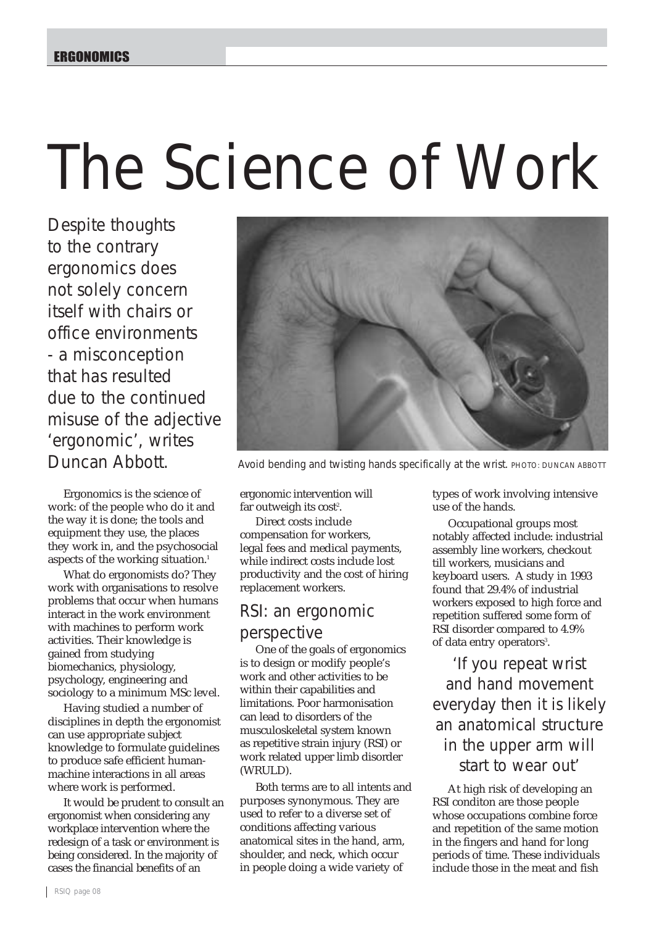# The Science of Work

Despite thoughts to the contrary ergonomics does not solely concern itself with chairs or office environments - a misconception that has resulted due to the continued misuse of the adjective 'ergonomic', writes Duncan Abbott.

Ergonomics is the science of work: of the people who do it and the way it is done; the tools and equipment they use, the places they work in, and the psychosocial aspects of the working situation.<sup>1</sup>

What do ergonomists do? They work with organisations to resolve problems that occur when humans interact in the work environment with machines to perform work activities. Their knowledge is gained from studying biomechanics, physiology, psychology, engineering and sociology to a minimum MSc level.

Having studied a number of disciplines in depth the ergonomist can use appropriate subject knowledge to formulate guidelines to produce safe efficient humanmachine interactions in all areas where work is performed.

It would be prudent to consult an ergonomist when considering any workplace intervention where the redesign of a task or environment is being considered. In the majority of cases the financial benefits of an



Avoid bending and twisting hands specifically at the wrist. *PHOTO: DUNCAN ABBOTT*

ergonomic intervention will far outweigh its  $cost^2$ .

Direct costs include compensation for workers, legal fees and medical payments, while indirect costs include lost productivity and the cost of hiring replacement workers.

### RSI: an ergonomic perspective

One of the goals of ergonomics is to design or modify people's work and other activities to be within their capabilities and limitations. Poor harmonisation can lead to disorders of the musculoskeletal system known as repetitive strain injury (RSI) or work related upper limb disorder (WRULD).

Both terms are to all intents and purposes synonymous. They are used to refer to a diverse set of conditions affecting various anatomical sites in the hand, arm, shoulder, and neck, which occur in people doing a wide variety of

types of work involving intensive use of the hands.

Occupational groups most notably affected include: industrial assembly line workers, checkout till workers, musicians and keyboard users. A study in 1993 found that 29.4% of industrial workers exposed to high force and repetition suffered some form of RSI disorder compared to 4.9% of data entry operators<sup>3</sup>.

'If you repeat wrist and hand movement everyday then it is likely an anatomical structure in the upper arm will start to wear out'

At high risk of developing an RSI conditon are those people whose occupations combine force and repetition of the same motion in the fingers and hand for long periods of time. These individuals include those in the meat and fish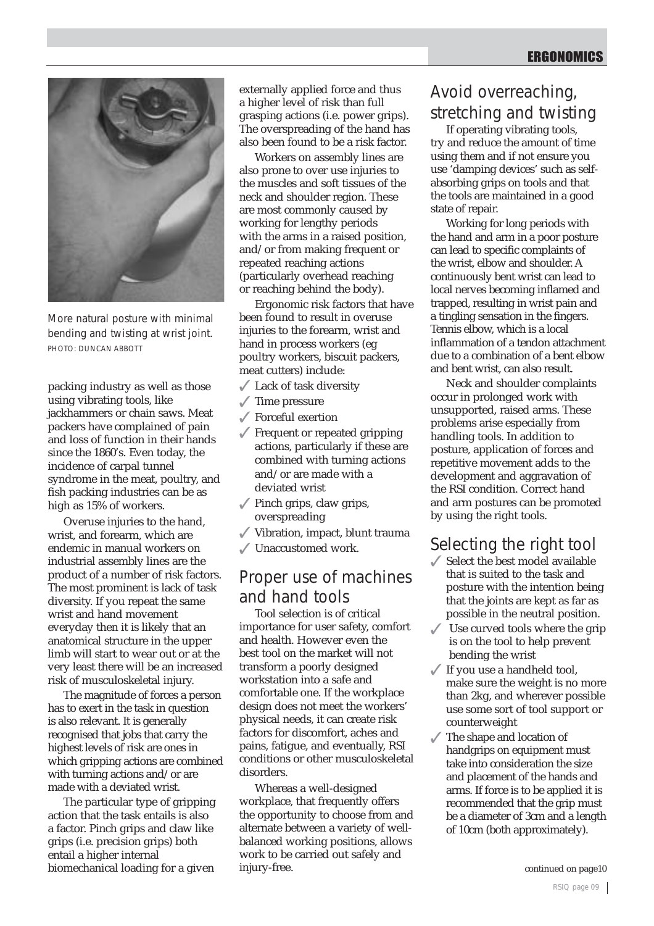

More natural posture with minimal bending and twisting at wrist joint. *PHOTO: DUNCAN ABBOTT*

packing industry as well as those using vibrating tools, like jackhammers or chain saws. Meat packers have complained of pain and loss of function in their hands since the 1860's. Even today, the incidence of carpal tunnel syndrome in the meat, poultry, and fish packing industries can be as high as 15% of workers.

Overuse injuries to the hand, wrist, and forearm, which are endemic in manual workers on industrial assembly lines are the product of a number of risk factors. The most prominent is lack of task diversity. If you repeat the same wrist and hand movement everyday then it is likely that an anatomical structure in the upper limb will start to wear out or at the very least there will be an increased risk of musculoskeletal injury.

The magnitude of forces a person has to exert in the task in question is also relevant. It is generally recognised that jobs that carry the highest levels of risk are ones in which gripping actions are combined with turning actions and/or are made with a deviated wrist.

The particular type of gripping action that the task entails is also a factor. Pinch grips and claw like grips (i.e. precision grips) both entail a higher internal biomechanical loading for a given

externally applied force and thus a higher level of risk than full grasping actions (i.e. power grips). The overspreading of the hand has also been found to be a risk factor.

Workers on assembly lines are also prone to over use injuries to the muscles and soft tissues of the neck and shoulder region. These are most commonly caused by working for lengthy periods with the arms in a raised position. and/or from making frequent or repeated reaching actions (particularly overhead reaching or reaching behind the body).

Ergonomic risk factors that have been found to result in overuse injuries to the forearm, wrist and hand in process workers (eg poultry workers, biscuit packers, meat cutters) include:

- $\sqrt{\phantom{a}}$  Lack of task diversity
- $\sqrt{\ }$  Time pressure
- $\sqrt{\ }$  Forceful exertion
- $\sqrt{\ }$  Frequent or repeated gripping actions, particularly if these are combined with turning actions and/or are made with a deviated wrist
- $\sqrt{\ }$  Pinch grips, claw grips, overspreading
- 3 Vibration, impact, blunt trauma
- $\sqrt{\ }$  Unaccustomed work.

# Proper use of machines and hand tools

Tool selection is of critical importance for user safety, comfort and health. However even the best tool on the market will not transform a poorly designed workstation into a safe and comfortable one. If the workplace design does not meet the workers' physical needs, it can create risk factors for discomfort, aches and pains, fatigue, and eventually, RSI conditions or other musculoskeletal disorders.

Whereas a well-designed workplace, that frequently offers the opportunity to choose from and alternate between a variety of wellbalanced working positions, allows work to be carried out safely and injury-free.

## Avoid overreaching, stretching and twisting

If operating vibrating tools, try and reduce the amount of time using them and if not ensure you use 'damping devices' such as selfabsorbing grips on tools and that the tools are maintained in a good state of repair.

Working for long periods with the hand and arm in a poor posture can lead to specific complaints of the wrist, elbow and shoulder. A continuously bent wrist can lead to local nerves becoming inflamed and trapped, resulting in wrist pain and a tingling sensation in the fingers. Tennis elbow, which is a local inflammation of a tendon attachment due to a combination of a bent elbow and bent wrist, can also result.

Neck and shoulder complaints occur in prolonged work with unsupported, raised arms. These problems arise especially from handling tools. In addition to posture, application of forces and repetitive movement adds to the development and aggravation of the RSI condition. Correct hand and arm postures can be promoted by using the right tools.

## Selecting the right tool

- $\angle$  Select the best model available that is suited to the task and posture with the intention being that the joints are kept as far as possible in the neutral position.
- $\sqrt{\phantom{a}}$  Use curved tools where the grip is on the tool to help prevent bending the wrist
- $\sqrt{ }$  If you use a handheld tool, make sure the weight is no more than 2kg, and wherever possible use some sort of tool support or counterweight
- The shape and location of handgrips on equipment must take into consideration the size and placement of the hands and arms. If force is to be applied it is recommended that the grip must be a diameter of 3cm and a length of 10cm (both approximately).